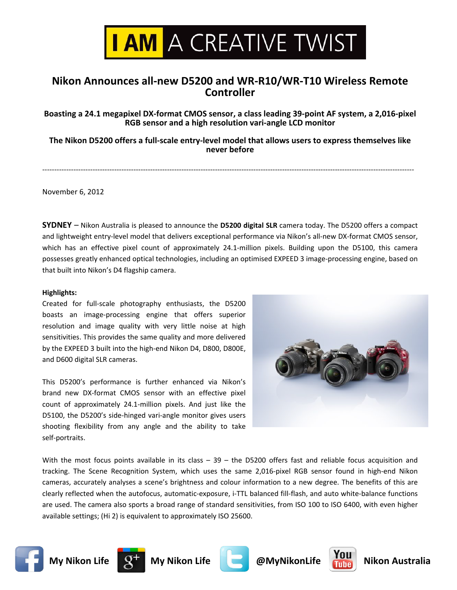

# **Nikon Announces all-new D5200 and WR-R10/WR-T10 Wireless Remote Controller**

Boasting a 24.1 megapixel DX-format CMOS sensor, a class leading 39-point AF system, a 2,016-pixel **RGB sensor and a high resolution vari-angle LCD monitor** 

The Nikon D5200 offers a full-scale entry-level model that allows users to express themselves like **never** before

"""""""""""""""""""""""""""""""""""""""""""""""""""""""""""""""""""""""""""""""""""""""""""""""""""""""""""""""""""""""""""""""""""""""""""""""""""""""""""

November 6, 2012

**SYDNEY** – Nikon Australia is pleased to announce the D5200 digital SLR camera today. The D5200 offers a compact and lightweight entry-level model that delivers exceptional performance via Nikon's all-new DX-format CMOS sensor, which has an effective pixel count of approximately 24.1-million pixels. Building upon the D5100, this camera possesses greatly enhanced optical technologies, including an optimised EXPEED 3 image-processing engine, based on that built into Nikon's D4 flagship camera.

## **Highlights:**

Created for full-scale photography enthusiasts, the D5200 boasts an image-processing engine that offers superior resolution and image quality with very little noise at high sensitivities. This provides the same quality and more delivered by the EXPEED 3 built into the high-end Nikon D4, D800, D800E, and D600 digital SLR cameras.

This D5200's performance is further enhanced via Nikon's brand new DX-format CMOS sensor with an effective pixel count of approximately 24.1-million pixels. And just like the D5100, the D5200's side-hinged vari-angle monitor gives users shooting flexibility from any angle and the ability to take self-portraits.



With the most focus points available in its class  $-39$  - the D5200 offers fast and reliable focus acquisition and tracking. The Scene Recognition System, which uses the same 2,016-pixel RGB sensor found in high-end Nikon cameras, accurately analyses a scene's brightness and colour information to a new degree. The benefits of this are clearly reflected when the autofocus, automatic-exposure, i-TTL balanced fill-flash, and auto white-balance functions are used. The camera also sports a broad range of standard sensitivities, from ISO 100 to ISO 6400, with even higher available settings; (Hi 2) is equivalent to approximately ISO 25600.











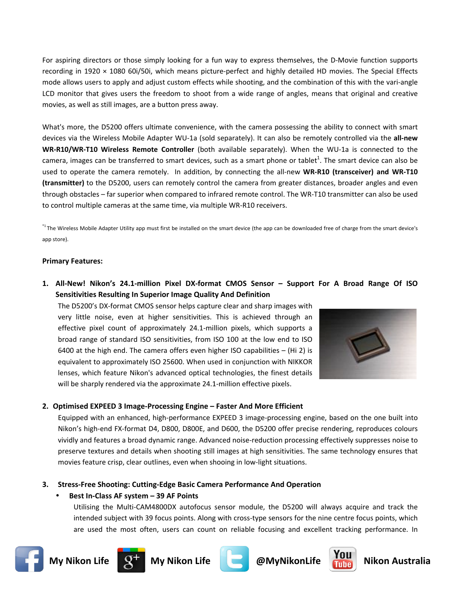For aspiring directors or those simply looking for a fun way to express themselves, the D-Movie function supports recording in 1920 × 1080 60i/50i, which means picture-perfect and highly detailed HD movies. The Special Effects mode allows users to apply and adjust custom effects while shooting, and the combination of this with the vari-angle LCD monitor that gives users the freedom to shoot from a wide range of angles, means that original and creative movies, as well as still images, are a button press away.

What's more, the D5200 offers ultimate convenience, with the camera possessing the ability to connect with smart devices via the Wireless Mobile Adapter WU-1a (sold separately). It can also be remotely controlled via the all-new WR-R10/WR-T10 Wireless Remote Controller (both available separately). When the WU-1a is connected to the camera, images can be transferred to smart devices, such as a smart phone or tablet<sup>1</sup>. The smart device can also be used to operate the camera remotely. In addition, by connecting the all-new WR-R10 (transceiver) and WR-T10 (transmitter) to the D5200, users can remotely control the camera from greater distances, broader angles and even through obstacles – far superior when compared to infrared remote control. The WR-T10 transmitter can also be used to control multiple cameras at the same time, via multiple WR-R10 receivers.

<sup>\*1</sup>The Wireless Mobile Adapter Utility app must first be installed on the smart device (the app can be downloaded free of charge from the smart device's app store).

### **Primary Features:**

1. All-New! Nikon's 24.1-million Pixel DX-format CMOS Sensor - Support For A Broad Range Of ISO Sensitivities Resulting In Superior Image Quality And Definition

The D5200's DX-format CMOS sensor helps capture clear and sharp images with very little noise, even at higher sensitivities. This is achieved through an effective pixel count of approximately 24.1-million pixels, which supports a broad range of standard ISO sensitivities, from ISO 100 at the low end to ISO 6400 at the high end. The camera offers even higher ISO capabilities  $-$  (Hi 2) is equivalent to approximately ISO 25600. When used in conjunction with NIKKOR lenses, which feature Nikon's advanced optical technologies, the finest details will be sharply rendered via the approximate 24.1-million effective pixels.



### 2. Optimised EXPEED 3 Image-Processing Engine - Faster And More Efficient

Equipped with an enhanced, high-performance EXPEED 3 image-processing engine, based on the one built into Nikon's high-end FX-format D4, D800, D800E, and D600, the D5200 offer precise rendering, reproduces colours vividly and features a broad dynamic range. Advanced noise-reduction processing effectively suppresses noise to preserve textures and details when shooting still images at high sensitivities. The same technology ensures that movies feature crisp, clear outlines, even when shooing in low-light situations.

### 3. Stress-Free Shooting: Cutting-Edge Basic Camera Performance And Operation

### Best In-Class AF system - 39 AF Points

Utilising the Multi-CAM4800DX autofocus sensor module, the D5200 will always acquire and track the intended subject with 39 focus points. Along with cross-type sensors for the nine centre focus points, which are used the most often, users can count on reliable focusing and excellent tracking performance. In











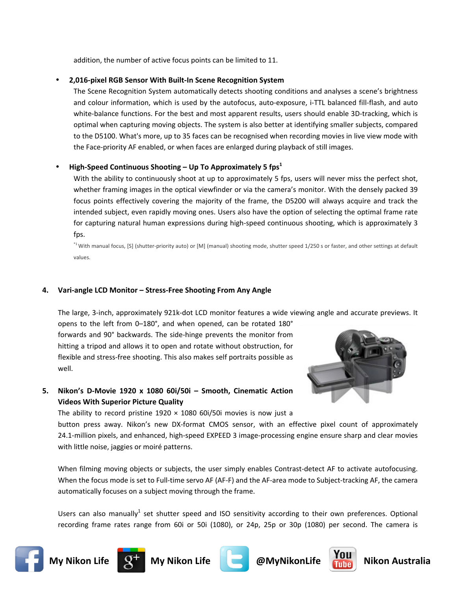addition, the number of active focus points can be limited to 11.

## 2,016-pixel RGB Sensor With Built-In Scene Recognition System

The Scene Recognition System automatically detects shooting conditions and analyses a scene's brightness and colour information, which is used by the autofocus, auto-exposure, i-TTL balanced fill-flash, and auto white-balance functions. For the best and most apparent results, users should enable 3D-tracking, which is optimal when capturing moving objects. The system is also better at identifying smaller subjects, compared to the D5100. What's more, up to 35 faces can be recognised when recording movies in live view mode with the Face-priority AF enabled, or when faces are enlarged during playback of still images.

## High-Speed Continuous Shooting – Up To Approximately 5  $fps<sup>1</sup>$

With the ability to continuously shoot at up to approximately 5 fps, users will never miss the perfect shot, whether framing images in the optical viewfinder or via the camera's monitor. With the densely packed 39 focus points effectively covering the majority of the frame, the D5200 will always acquire and track the intended subject, even rapidly moving ones. Users also have the option of selecting the optimal frame rate for capturing natural human expressions during high-speed continuous shooting, which is approximately 3 fps.

<sup>\*1</sup> With manual focus, [S] (shutter-priority auto) or [M] (manual) shooting mode, shutter speed 1/250 s or faster, and other settings at default values.

## 4. Vari-angle LCD Monitor - Stress-Free Shooting From Any Angle

The large, 3-inch, approximately 921k-dot LCD monitor features a wide viewing angle and accurate previews. It

opens to the left from 0-180°, and when opened, can be rotated 180° forwards and 90° backwards. The side-hinge prevents the monitor from hitting a tripod and allows it to open and rotate without obstruction, for flexible and stress-free shooting. This also makes self portraits possible as well.



5. Nikon's D-Movie 1920 x 1080 60i/50i - Smooth, Cinematic Action **Videos With Superior Picture Quality** 

The ability to record pristine  $1920 \times 1080$  60i/50i movies is now just a

button press away. Nikon's new DX-format CMOS sensor, with an effective pixel count of approximately 24.1-million pixels, and enhanced, high-speed EXPEED 3 image-processing engine ensure sharp and clear movies with little noise, jaggies or moiré patterns.

When filming moving objects or subjects, the user simply enables Contrast-detect AF to activate autofocusing. When the focus mode is set to Full-time servo AF (AF-F) and the AF-area mode to Subject-tracking AF, the camera automatically focuses on a subject moving through the frame.

Users can also manually<sup>1</sup> set shutter speed and ISO sensitivity according to their own preferences. Optional recording frame rates range from 60i or 50i (1080), or 24p, 25p or 30p (1080) per second. The camera is





**My Nikon Life** 





**Nikon Australia**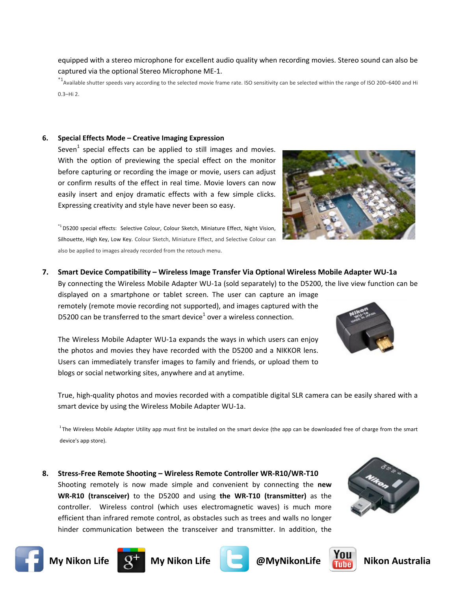equipped with a stereo microphone for excellent audio quality when recording movies. Stereo sound can also be captured via the optional Stereo Microphone ME-1.

 $*$ <sup>1</sup> Available shutter speeds vary according to the selected movie frame rate. ISO sensitivity can be selected within the range of ISO 200–6400 and Hi  $0.3 - Hi 2.$ 

### 6. Special Effects Mode - Creative Imaging Expression

Seven<sup>1</sup> special effects can be applied to still images and movies. With the option of previewing the special effect on the monitor before capturing or recording the image or movie, users can adjust or confirm results of the effect in real time. Movie lovers can now easily insert and enjoy dramatic effects with a few simple clicks. Expressing creativity and style have never been so easy.

\*<sup>1</sup>D5200 special effects: Selective Colour, Colour Sketch, Miniature Effect, Night Vision, Silhouette, High Key, Low Key. Colour Sketch, Miniature Effect, and Selective Colour can also be applied to images already recorded from the retouch menu.

## 7. Smart Device Compatibility - Wireless Image Transfer Via Optional Wireless Mobile Adapter WU-1a

By connecting the Wireless Mobile Adapter WU-1a (sold separately) to the D5200, the live view function can be

displayed on a smartphone or tablet screen. The user can capture an image remotely (remote movie recording not supported), and images captured with the D5200 can be transferred to the smart device<sup>1</sup> over a wireless connection.

The Wireless Mobile Adapter WU-1a expands the ways in which users can enjoy the photos and movies they have recorded with the D5200 and a NIKKOR lens. Users can immediately transfer images to family and friends, or upload them to blogs or social networking sites, anywhere and at anytime.

True, high-quality photos and movies recorded with a compatible digital SLR camera can be easily shared with a smart device by using the Wireless Mobile Adapter WU-1a.

<sup>1</sup>The Wireless Mobile Adapter Utility app must first be installed on the smart device (the app can be downloaded free of charge from the smart device's app store).

8. Stress-Free Remote Shooting - Wireless Remote Controller WR-R10/WR-T10 Shooting remotely is now made simple and convenient by connecting the new WR-R10 (transceiver) to the D5200 and using the WR-T10 (transmitter) as the controller. Wireless control (which uses electromagnetic waves) is much more efficient than infrared remote control, as obstacles such as trees and walls no longer hinder communication between the transceiver and transmitter. In addition, the